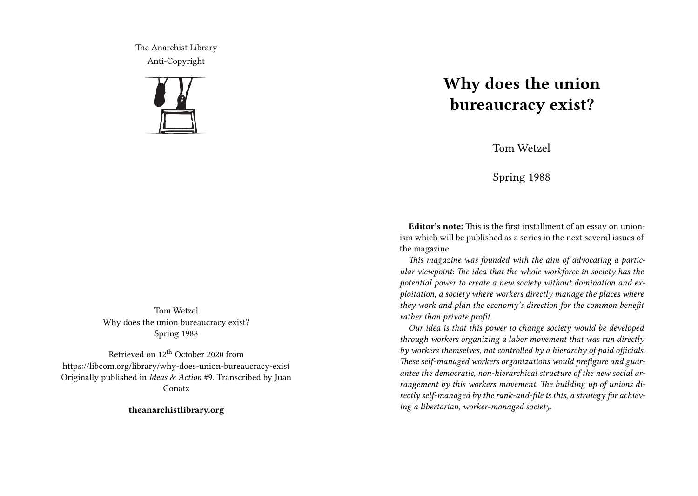The Anarchist Library Anti-Copyright



Tom Wetzel Why does the union bureaucracy exist? Spring 1988

Retrieved on 12<sup>th</sup> October 2020 from https://libcom.org/library/why-does-union-bureaucracy-exist Originally published in *Ideas & Action* #9. Transcribed by Juan Conatz

**theanarchistlibrary.org**

# **Why does the union bureaucracy exist?**

Tom Wetzel

Spring 1988

**Editor's note:** This is the first installment of an essay on unionism which will be published as a series in the next several issues of the magazine.

*This magazine was founded with the aim of advocating a particular viewpoint: The idea that the whole workforce in society has the potential power to create a new society without domination and exploitation, a society where workers directly manage the places where they work and plan the economy's direction for the common benefit rather than private profit.*

*Our idea is that this power to change society would be developed through workers organizing a labor movement that was run directly by workers themselves, not controlled by a hierarchy of paid officials. These self-managed workers organizations would prefigure and guarantee the democratic, non-hierarchical structure of the new social arrangement by this workers movement. The building up of unions directly self-managed by the rank-and-file is this, a strategy for achieving a libertarian, worker-managed society.*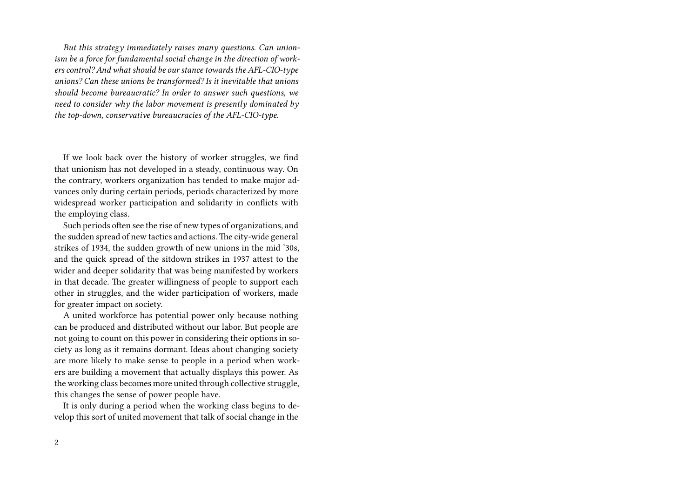*But this strategy immediately raises many questions. Can unionism be a force for fundamental social change in the direction of workers control? And what should be our stance towards the AFL-CIO-type unions? Can these unions be transformed? Is it inevitable that unions should become bureaucratic? In order to answer such questions, we need to consider why the labor movement is presently dominated by the top-down, conservative bureaucracies of the AFL-CIO-type.*

If we look back over the history of worker struggles, we find that unionism has not developed in a steady, continuous way. On the contrary, workers organization has tended to make major advances only during certain periods, periods characterized by more widespread worker participation and solidarity in conflicts with the employing class.

Such periods often see the rise of new types of organizations, and the sudden spread of new tactics and actions. The city-wide general strikes of 1934, the sudden growth of new unions in the mid '30s, and the quick spread of the sitdown strikes in 1937 attest to the wider and deeper solidarity that was being manifested by workers in that decade. The greater willingness of people to support each other in struggles, and the wider participation of workers, made for greater impact on society.

A united workforce has potential power only because nothing can be produced and distributed without our labor. But people are not going to count on this power in considering their options in society as long as it remains dormant. Ideas about changing society are more likely to make sense to people in a period when workers are building a movement that actually displays this power. As the working class becomes more united through collective struggle, this changes the sense of power people have.

It is only during a period when the working class begins to develop this sort of united movement that talk of social change in the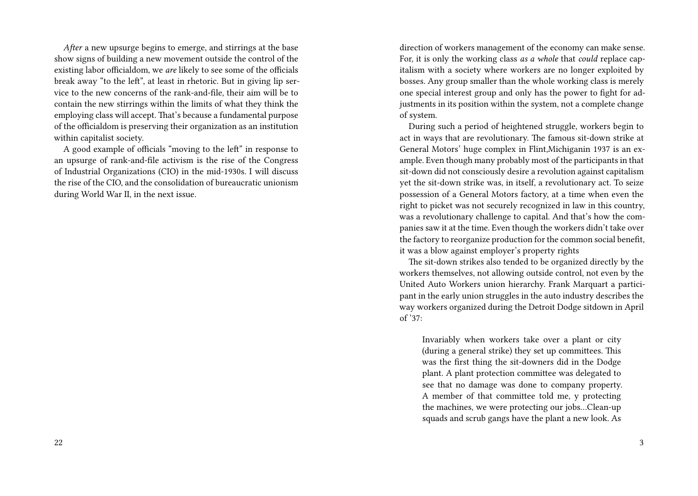*After* a new upsurge begins to emerge, and stirrings at the base show signs of building a new movement outside the control of the existing labor officialdom, we *are* likely to see some of the officials break away "to the left", at least in rhetoric. But in giving lip service to the new concerns of the rank-and-file, their aim will be to contain the new stirrings within the limits of what they think the employing class will accept. That's because a fundamental purpose of the officialdom is preserving their organization as an institution within capitalist society.

A good example of officials "moving to the left" in response to an upsurge of rank-and-file activism is the rise of the Congress of Industrial Organizations (CIO) in the mid-1930s. I will discuss the rise of the CIO, and the consolidation of bureaucratic unionism during World War II, in the next issue.

direction of workers management of the economy can make sense. For, it is only the working class *as a whole* that *could* replace capitalism with a society where workers are no longer exploited by bosses. Any group smaller than the whole working class is merely one special interest group and only has the power to fight for adjustments in its position within the system, not a complete change of system.

During such a period of heightened struggle, workers begin to act in ways that are revolutionary. The famous sit-down strike at General Motors' huge complex in Flint,Michiganin 1937 is an example. Even though many probably most of the participants in that sit-down did not consciously desire a revolution against capitalism yet the sit-down strike was, in itself, a revolutionary act. To seize possession of a General Motors factory, at a time when even the right to picket was not securely recognized in law in this country, was a revolutionary challenge to capital. And that's how the companies saw it at the time. Even though the workers didn't take over the factory to reorganize production for the common social benefit, it was a blow against employer's property rights

The sit-down strikes also tended to be organized directly by the workers themselves, not allowing outside control, not even by the United Auto Workers union hierarchy. Frank Marquart a participant in the early union struggles in the auto industry describes the way workers organized during the Detroit Dodge sitdown in April of '37:

Invariably when workers take over a plant or city (during a general strike) they set up committees. This was the first thing the sit-downers did in the Dodge plant. A plant protection committee was delegated to see that no damage was done to company property. A member of that committee told me, y protecting the machines, we were protecting our jobs…Clean-up squads and scrub gangs have the plant a new look. As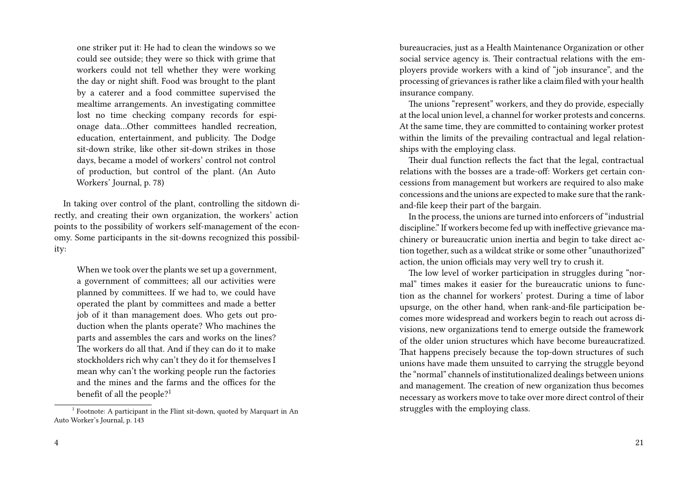one striker put it: He had to clean the windows so we could see outside; they were so thick with grime that workers could not tell whether they were working the day or night shift. Food was brought to the plant by a caterer and a food committee supervised the mealtime arrangements. An investigating committee lost no time checking company records for espionage data…Other committees handled recreation, education, entertainment, and publicity. The Dodge sit-down strike, like other sit-down strikes in those days, became a model of workers' control not control of production, but control of the plant. (An Auto Workers' Journal, p. 78)

In taking over control of the plant, controlling the sitdown directly, and creating their own organization, the workers' action points to the possibility of workers self-management of the economy. Some participants in the sit-downs recognized this possibility:

When we took over the plants we set up a government, a government of committees; all our activities were planned by committees. If we had to, we could have operated the plant by committees and made a better job of it than management does. Who gets out production when the plants operate? Who machines the parts and assembles the cars and works on the lines? The workers do all that. And if they can do it to make stockholders rich why can't they do it for themselves I mean why can't the working people run the factories and the mines and the farms and the offices for the benefit of all the people?<sup>1</sup>

bureaucracies, just as a Health Maintenance Organization or other social service agency is. Their contractual relations with the employers provide workers with a kind of "job insurance", and the processing of grievances is rather like a claim filed with your health insurance company.

The unions "represent" workers, and they do provide, especially at the local union level, a channel for worker protests and concerns. At the same time, they are committed to containing worker protest within the limits of the prevailing contractual and legal relationships with the employing class.

Their dual function reflects the fact that the legal, contractual relations with the bosses are a trade-off: Workers get certain concessions from management but workers are required to also make concessions and the unions are expected to make sure that the rankand-file keep their part of the bargain.

In the process, the unions are turned into enforcers of "industrial discipline." If workers become fed up with ineffective grievance machinery or bureaucratic union inertia and begin to take direct action together, such as a wildcat strike or some other "unauthorized" action, the union officials may very well try to crush it.

The low level of worker participation in struggles during "normal" times makes it easier for the bureaucratic unions to function as the channel for workers' protest. During a time of labor upsurge, on the other hand, when rank-and-file participation becomes more widespread and workers begin to reach out across divisions, new organizations tend to emerge outside the framework of the older union structures which have become bureaucratized. That happens precisely because the top-down structures of such unions have made them unsuited to carrying the struggle beyond the "normal" channels of institutionalized dealings between unions and management. The creation of new organization thus becomes necessary as workers move to take over more direct control of their struggles with the employing class.

<sup>&</sup>lt;sup>1</sup> Footnote: A participant in the Flint sit-down, quoted by Marquart in An Auto Worker's Journal, p. 143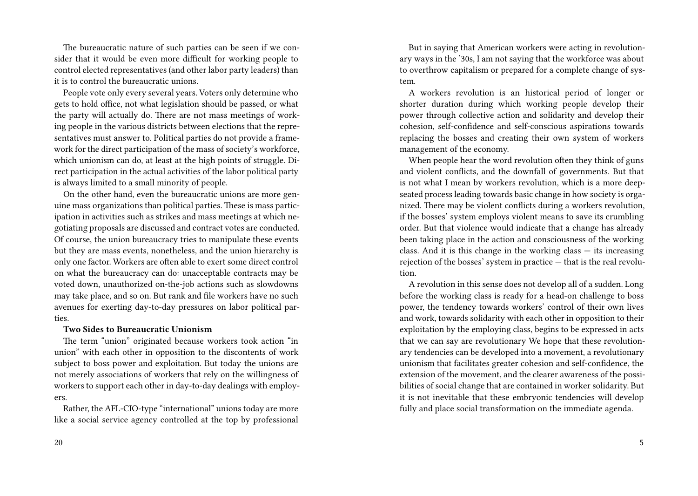The bureaucratic nature of such parties can be seen if we consider that it would be even more difficult for working people to control elected representatives (and other labor party leaders) than it is to control the bureaucratic unions.

People vote only every several years. Voters only determine who gets to hold office, not what legislation should be passed, or what the party will actually do. There are not mass meetings of working people in the various districts between elections that the representatives must answer to. Political parties do not provide a framework for the direct participation of the mass of society's workforce, which unionism can do, at least at the high points of struggle. Direct participation in the actual activities of the labor political party is always limited to a small minority of people.

On the other hand, even the bureaucratic unions are more genuine mass organizations than political parties. These is mass participation in activities such as strikes and mass meetings at which negotiating proposals are discussed and contract votes are conducted. Of course, the union bureaucracy tries to manipulate these events but they are mass events, nonetheless, and the union hierarchy is only one factor. Workers are often able to exert some direct control on what the bureaucracy can do: unacceptable contracts may be voted down, unauthorized on-the-job actions such as slowdowns may take place, and so on. But rank and file workers have no such avenues for exerting day-to-day pressures on labor political parties.

## **Two Sides to Bureaucratic Unionism**

The term "union" originated because workers took action "in union" with each other in opposition to the discontents of work subject to boss power and exploitation. But today the unions are not merely associations of workers that rely on the willingness of workers to support each other in day-to-day dealings with employers.

Rather, the AFL-CIO-type "international" unions today are more like a social service agency controlled at the top by professional

But in saying that American workers were acting in revolutionary ways in the '30s, I am not saying that the workforce was about to overthrow capitalism or prepared for a complete change of system.

A workers revolution is an historical period of longer or shorter duration during which working people develop their power through collective action and solidarity and develop their cohesion, self-confidence and self-conscious aspirations towards replacing the bosses and creating their own system of workers management of the economy.

When people hear the word revolution often they think of guns and violent conflicts, and the downfall of governments. But that is not what I mean by workers revolution, which is a more deepseated process leading towards basic change in how society is organized. There may be violent conflicts during a workers revolution, if the bosses' system employs violent means to save its crumbling order. But that violence would indicate that a change has already been taking place in the action and consciousness of the working class. And it is this change in the working class  $-$  its increasing rejection of the bosses' system in practice — that is the real revolution.

A revolution in this sense does not develop all of a sudden. Long before the working class is ready for a head-on challenge to boss power, the tendency towards workers' control of their own lives and work, towards solidarity with each other in opposition to their exploitation by the employing class, begins to be expressed in acts that we can say are revolutionary We hope that these revolutionary tendencies can be developed into a movement, a revolutionary unionism that facilitates greater cohesion and self-confidence, the extension of the movement, and the clearer awareness of the possibilities of social change that are contained in worker solidarity. But it is not inevitable that these embryonic tendencies will develop fully and place social transformation on the immediate agenda.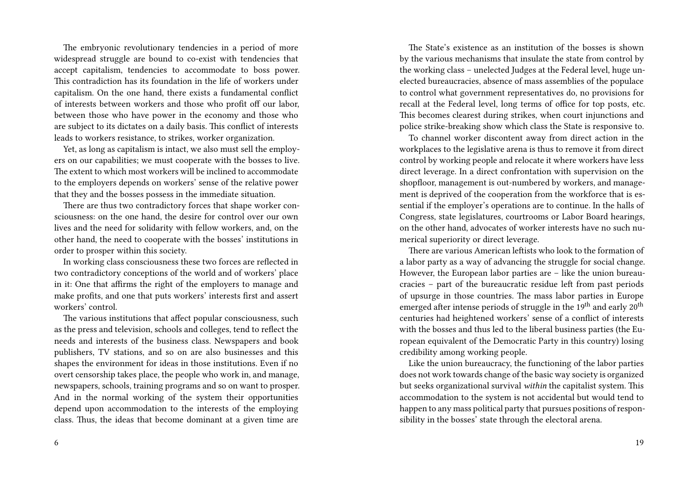The embryonic revolutionary tendencies in a period of more widespread struggle are bound to co-exist with tendencies that accept capitalism, tendencies to accommodate to boss power. This contradiction has its foundation in the life of workers under capitalism. On the one hand, there exists a fundamental conflict of interests between workers and those who profit off our labor, between those who have power in the economy and those who are subject to its dictates on a daily basis. This conflict of interests leads to workers resistance, to strikes, worker organization.

Yet, as long as capitalism is intact, we also must sell the employers on our capabilities; we must cooperate with the bosses to live. The extent to which most workers will be inclined to accommodate to the employers depends on workers' sense of the relative power that they and the bosses possess in the immediate situation.

There are thus two contradictory forces that shape worker consciousness: on the one hand, the desire for control over our own lives and the need for solidarity with fellow workers, and, on the other hand, the need to cooperate with the bosses' institutions in order to prosper within this society.

In working class consciousness these two forces are reflected in two contradictory conceptions of the world and of workers' place in it: One that affirms the right of the employers to manage and make profits, and one that puts workers' interests first and assert workers' control.

The various institutions that affect popular consciousness, such as the press and television, schools and colleges, tend to reflect the needs and interests of the business class. Newspapers and book publishers, TV stations, and so on are also businesses and this shapes the environment for ideas in those institutions. Even if no overt censorship takes place, the people who work in, and manage, newspapers, schools, training programs and so on want to prosper. And in the normal working of the system their opportunities depend upon accommodation to the interests of the employing class. Thus, the ideas that become dominant at a given time are

The State's existence as an institution of the bosses is shown by the various mechanisms that insulate the state from control by the working class – unelected Judges at the Federal level, huge unelected bureaucracies, absence of mass assemblies of the populace to control what government representatives do, no provisions for recall at the Federal level, long terms of office for top posts, etc. This becomes clearest during strikes, when court injunctions and police strike-breaking show which class the State is responsive to.

To channel worker discontent away from direct action in the workplaces to the legislative arena is thus to remove it from direct control by working people and relocate it where workers have less direct leverage. In a direct confrontation with supervision on the shopfloor, management is out-numbered by workers, and management is deprived of the cooperation from the workforce that is essential if the employer's operations are to continue. In the halls of Congress, state legislatures, courtrooms or Labor Board hearings, on the other hand, advocates of worker interests have no such numerical superiority or direct leverage.

There are various American leftists who look to the formation of a labor party as a way of advancing the struggle for social change. However, the European labor parties are – like the union bureaucracies – part of the bureaucratic residue left from past periods of upsurge in those countries. The mass labor parties in Europe emerged after intense periods of struggle in the  $19<sup>th</sup>$  and early  $20<sup>th</sup>$ centuries had heightened workers' sense of a conflict of interests with the bosses and thus led to the liberal business parties (the European equivalent of the Democratic Party in this country) losing credibility among working people.

Like the union bureaucracy, the functioning of the labor parties does not work towards change of the basic way society is organized but seeks organizational survival *within* the capitalist system. This accommodation to the system is not accidental but would tend to happen to any mass political party that pursues positions of responsibility in the bosses' state through the electoral arena.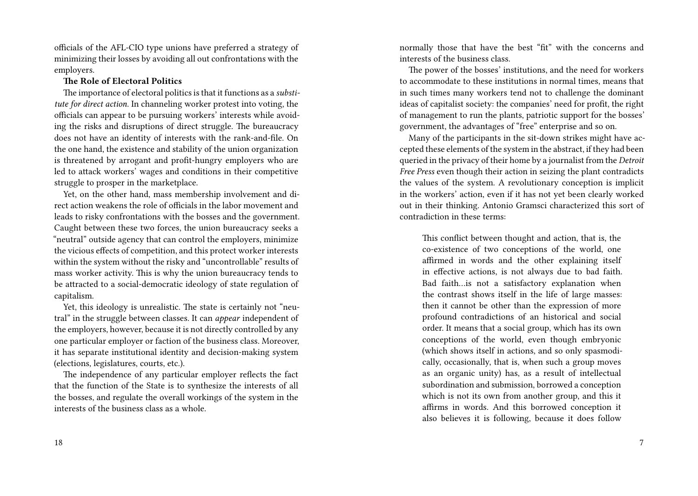officials of the AFL-CIO type unions have preferred a strategy of minimizing their losses by avoiding all out confrontations with the employers.

## **The Role of Electoral Politics**

The importance of electoral politics is that it functions as a *substitute for direct action*. In channeling worker protest into voting, the officials can appear to be pursuing workers' interests while avoiding the risks and disruptions of direct struggle. The bureaucracy does not have an identity of interests with the rank-and-file. On the one hand, the existence and stability of the union organization is threatened by arrogant and profit-hungry employers who are led to attack workers' wages and conditions in their competitive struggle to prosper in the marketplace.

Yet, on the other hand, mass membership involvement and direct action weakens the role of officials in the labor movement and leads to risky confrontations with the bosses and the government. Caught between these two forces, the union bureaucracy seeks a "neutral" outside agency that can control the employers, minimize the vicious effects of competition, and this protect worker interests within the system without the risky and "uncontrollable" results of mass worker activity. This is why the union bureaucracy tends to be attracted to a social-democratic ideology of state regulation of capitalism.

Yet, this ideology is unrealistic. The state is certainly not "neutral" in the struggle between classes. It can *appear* independent of the employers, however, because it is not directly controlled by any one particular employer or faction of the business class. Moreover, it has separate institutional identity and decision-making system (elections, legislatures, courts, etc.).

The independence of any particular employer reflects the fact that the function of the State is to synthesize the interests of all the bosses, and regulate the overall workings of the system in the interests of the business class as a whole.

normally those that have the best "fit" with the concerns and interests of the business class.

The power of the bosses' institutions, and the need for workers to accommodate to these institutions in normal times, means that in such times many workers tend not to challenge the dominant ideas of capitalist society: the companies' need for profit, the right of management to run the plants, patriotic support for the bosses' government, the advantages of "free" enterprise and so on.

Many of the participants in the sit-down strikes might have accepted these elements of the system in the abstract, if they had been queried in the privacy of their home by a journalist from the *Detroit Free Press* even though their action in seizing the plant contradicts the values of the system. A revolutionary conception is implicit in the workers' action, even if it has not yet been clearly worked out in their thinking. Antonio Gramsci characterized this sort of contradiction in these terms:

This conflict between thought and action, that is, the co-existence of two conceptions of the world, one affirmed in words and the other explaining itself in effective actions, is not always due to bad faith. Bad faith…is not a satisfactory explanation when the contrast shows itself in the life of large masses: then it cannot be other than the expression of more profound contradictions of an historical and social order. It means that a social group, which has its own conceptions of the world, even though embryonic (which shows itself in actions, and so only spasmodically, occasionally, that is, when such a group moves as an organic unity) has, as a result of intellectual subordination and submission, borrowed a conception which is not its own from another group, and this it affirms in words. And this borrowed conception it also believes it is following, because it does follow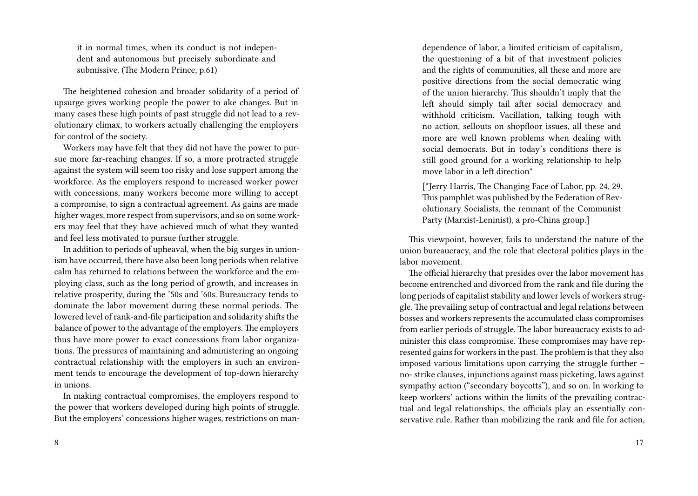it in normal times, when its conduct is not independent and autonomous but precisely subordinate and submissive. (The Modern Prince, p.61)

The heightened cohesion and broader solidarity of a period of upsurge gives working people the power to ake changes. But in many cases these high points of past struggle did not lead to a revolutionary climax, to workers actually challenging the employers for control of the society.

Workers may have felt that they did not have the power to pursue more far-reaching changes. If so, a more protracted struggle against the system will seem too risky and lose support among the workforce. As the employers respond to increased worker power with concessions, many workers become more willing to accept a compromise, to sign a contractual agreement. As gains are made higher wages, more respect from supervisors, and so on some workers may feel that they have achieved much of what they wanted and feel less motivated to pursue further struggle.

In addition to periods of upheaval, when the big surges in unionism have occurred, there have also been long periods when relative calm has returned to relations between the workforce and the employing class, such as the long period of growth, and increases in relative prosperity, during the '50s and '60s. Bureaucracy tends to dominate the labor movement during these normal periods. The lowered level of rank-and-file participation and solidarity shifts the balance of power to the advantage of the employers. The employers thus have more power to exact concessions from labor organizations. The pressures of maintaining and administering an ongoing contractual relationship with the employers in such an environment tends to encourage the development of top-down hierarchy in unions.

In making contractual compromises, the employers respond to the power that workers developed during high points of struggle. But the employers' concessions higher wages, restrictions on man-

dependence of labor, a limited criticism of capitalism, the questioning of a bit of that investment policies and the rights of communities, all these and more are positive directions from the social democratic wing of the union hierarchy. This shouldn't imply that the left should simply tail after social democracy and withhold criticism. Vacillation, talking tough with no action, sellouts on shopfloor issues, all these and more are well known problems when dealing with social democrats. But in today's conditions there is still good ground for a working relationship to help move labor in a left direction\*

[\*Jerry Harris, The Changing Face of Labor, pp. 24, 29. This pamphlet was published by the Federation of Revolutionary Socialists, the remnant of the Communist Party (Marxist-Leninist), a pro-China group.]

This viewpoint, however, fails to understand the nature of the union bureaucracy, and the role that electoral politics plays in the labor movement.

The official hierarchy that presides over the labor movement has become entrenched and divorced from the rank and file during the long periods of capitalist stability and lower levels of workers struggle. The prevailing setup of contractual and legal relations between bosses and workers represents the accumulated class compromises from earlier periods of struggle. The labor bureaucracy exists to administer this class compromise. These compromises may have represented gains for workers in the past. The problem is that they also imposed various limitations upon carrying the struggle further – no- strike clauses, injunctions against mass picketing, laws against sympathy action ("secondary boycotts"), and so on. In working to keep workers' actions within the limits of the prevailing contractual and legal relationships, the officials play an essentially conservative rule. Rather than mobilizing the rank and file for action,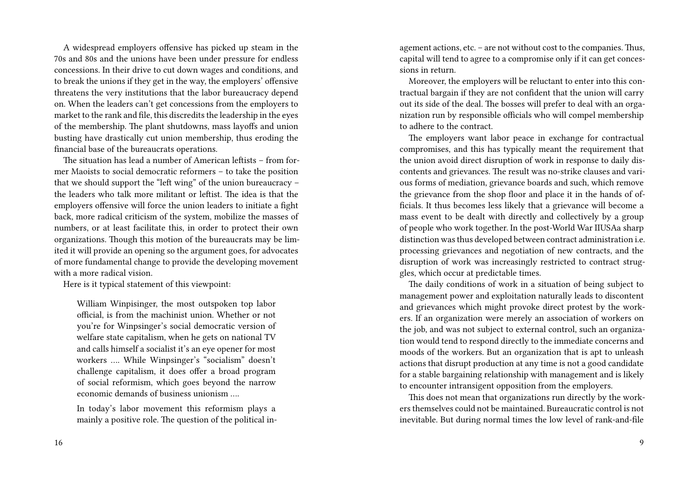A widespread employers offensive has picked up steam in the 70s and 80s and the unions have been under pressure for endless concessions. In their drive to cut down wages and conditions, and to break the unions if they get in the way, the employers' offensive threatens the very institutions that the labor bureaucracy depend on. When the leaders can't get concessions from the employers to market to the rank and file, this discredits the leadership in the eyes of the membership. The plant shutdowns, mass layoffs and union busting have drastically cut union membership, thus eroding the financial base of the bureaucrats operations.

The situation has lead a number of American leftists – from former Maoists to social democratic reformers – to take the position that we should support the "left wing" of the union bureaucracy – the leaders who talk more militant or leftist. The idea is that the employers offensive will force the union leaders to initiate a fight back, more radical criticism of the system, mobilize the masses of numbers, or at least facilitate this, in order to protect their own organizations. Though this motion of the bureaucrats may be limited it will provide an opening so the argument goes, for advocates of more fundamental change to provide the developing movement with a more radical vision.

Here is it typical statement of this viewpoint:

William Winpisinger, the most outspoken top labor official, is from the machinist union. Whether or not you're for Winpsinger's social democratic version of welfare state capitalism, when he gets on national TV and calls himself a socialist it's an eye opener for most workers …. While Winpsinger's "socialism" doesn't challenge capitalism, it does offer a broad program of social reformism, which goes beyond the narrow economic demands of business unionism ….

In today's labor movement this reformism plays a mainly a positive role. The question of the political in-

agement actions, etc. – are not without cost to the companies. Thus, capital will tend to agree to a compromise only if it can get concessions in return.

Moreover, the employers will be reluctant to enter into this contractual bargain if they are not confident that the union will carry out its side of the deal. The bosses will prefer to deal with an organization run by responsible officials who will compel membership to adhere to the contract.

The employers want labor peace in exchange for contractual compromises, and this has typically meant the requirement that the union avoid direct disruption of work in response to daily discontents and grievances. The result was no-strike clauses and various forms of mediation, grievance boards and such, which remove the grievance from the shop floor and place it in the hands of officials. It thus becomes less likely that a grievance will become a mass event to be dealt with directly and collectively by a group of people who work together. In the post-World War IIUSAa sharp distinction was thus developed between contract administration i.e. processing grievances and negotiation of new contracts, and the disruption of work was increasingly restricted to contract struggles, which occur at predictable times.

The daily conditions of work in a situation of being subject to management power and exploitation naturally leads to discontent and grievances which might provoke direct protest by the workers. If an organization were merely an association of workers on the job, and was not subject to external control, such an organization would tend to respond directly to the immediate concerns and moods of the workers. But an organization that is apt to unleash actions that disrupt production at any time is not a good candidate for a stable bargaining relationship with management and is likely to encounter intransigent opposition from the employers.

This does not mean that organizations run directly by the workers themselves could not be maintained. Bureaucratic control is not inevitable. But during normal times the low level of rank-and-file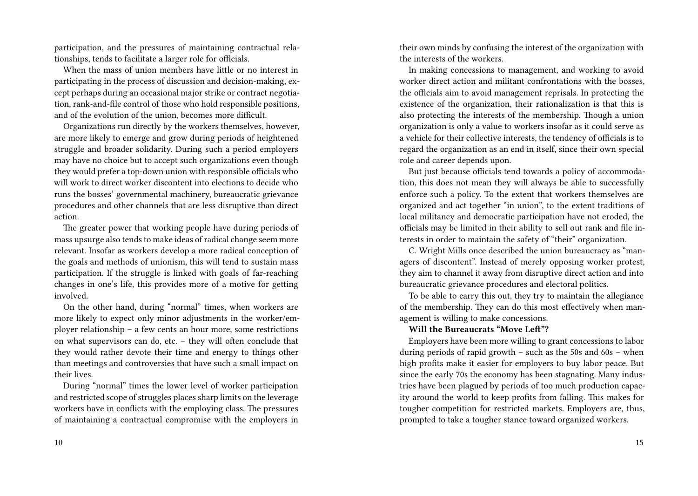participation, and the pressures of maintaining contractual relationships, tends to facilitate a larger role for officials.

When the mass of union members have little or no interest in participating in the process of discussion and decision-making, except perhaps during an occasional major strike or contract negotiation, rank-and-file control of those who hold responsible positions, and of the evolution of the union, becomes more difficult.

Organizations run directly by the workers themselves, however, are more likely to emerge and grow during periods of heightened struggle and broader solidarity. During such a period employers may have no choice but to accept such organizations even though they would prefer a top-down union with responsible officials who will work to direct worker discontent into elections to decide who runs the bosses' governmental machinery, bureaucratic grievance procedures and other channels that are less disruptive than direct action.

The greater power that working people have during periods of mass upsurge also tends to make ideas of radical change seem more relevant. Insofar as workers develop a more radical conception of the goals and methods of unionism, this will tend to sustain mass participation. If the struggle is linked with goals of far-reaching changes in one's life, this provides more of a motive for getting involved.

On the other hand, during "normal" times, when workers are more likely to expect only minor adjustments in the worker/employer relationship – a few cents an hour more, some restrictions on what supervisors can do, etc. – they will often conclude that they would rather devote their time and energy to things other than meetings and controversies that have such a small impact on their lives.

During "normal" times the lower level of worker participation and restricted scope of struggles places sharp limits on the leverage workers have in conflicts with the employing class. The pressures of maintaining a contractual compromise with the employers in

their own minds by confusing the interest of the organization with the interests of the workers.

In making concessions to management, and working to avoid worker direct action and militant confrontations with the bosses, the officials aim to avoid management reprisals. In protecting the existence of the organization, their rationalization is that this is also protecting the interests of the membership. Though a union organization is only a value to workers insofar as it could serve as a vehicle for their collective interests, the tendency of officials is to regard the organization as an end in itself, since their own special role and career depends upon.

But just because officials tend towards a policy of accommodation, this does not mean they will always be able to successfully enforce such a policy. To the extent that workers themselves are organized and act together "in union", to the extent traditions of local militancy and democratic participation have not eroded, the officials may be limited in their ability to sell out rank and file interests in order to maintain the safety of "their" organization.

C. Wright Mills once described the union bureaucracy as "managers of discontent". Instead of merely opposing worker protest, they aim to channel it away from disruptive direct action and into bureaucratic grievance procedures and electoral politics.

To be able to carry this out, they try to maintain the allegiance of the membership. They can do this most effectively when management is willing to make concessions.

## **Will the Bureaucrats "Move Left"?**

Employers have been more willing to grant concessions to labor during periods of rapid growth – such as the 50s and 60s – when high profits make it easier for employers to buy labor peace. But since the early 70s the economy has been stagnating. Many industries have been plagued by periods of too much production capacity around the world to keep profits from falling. This makes for tougher competition for restricted markets. Employers are, thus, prompted to take a tougher stance toward organized workers.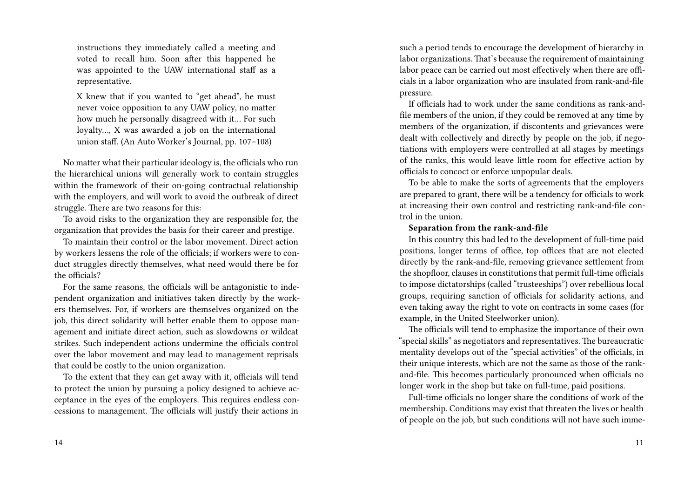instructions they immediately called a meeting and voted to recall him. Soon after this happened he was appointed to the UAW international staff as a representative.

X knew that if you wanted to "get ahead", he must never voice opposition to any UAW policy, no matter how much he personally disagreed with it… For such loyalty..., X was awarded a job on the international union staff. (An Auto Worker's Journal, pp. 107–108)

No matter what their particular ideology is, the officials who run the hierarchical unions will generally work to contain struggles within the framework of their on-going contractual relationship with the employers, and will work to avoid the outbreak of direct struggle. There are two reasons for this:

To avoid risks to the organization they are responsible for, the organization that provides the basis for their career and prestige.

To maintain their control or the labor movement. Direct action by workers lessens the role of the officials; if workers were to conduct struggles directly themselves, what need would there be for the officials?

For the same reasons, the officials will be antagonistic to independent organization and initiatives taken directly by the workers themselves. For, if workers are themselves organized on the job, this direct solidarity will better enable them to oppose management and initiate direct action, such as slowdowns or wildcat strikes. Such independent actions undermine the officials control over the labor movement and may lead to management reprisals that could be costly to the union organization.

To the extent that they can get away with it, officials will tend to protect the union by pursuing a policy designed to achieve acceptance in the eyes of the employers. This requires endless concessions to management. The officials will justify their actions in such a period tends to encourage the development of hierarchy in labor organizations. That's because the requirement of maintaining labor peace can be carried out most effectively when there are officials in a labor organization who are insulated from rank-and-file pressure.

If officials had to work under the same conditions as rank-andfile members of the union, if they could be removed at any time by members of the organization, if discontents and grievances were dealt with collectively and directly by people on the job, if negotiations with employers were controlled at all stages by meetings of the ranks, this would leave little room for effective action by officials to concoct or enforce unpopular deals.

To be able to make the sorts of agreements that the employers are prepared to grant, there will be a tendency for officials to work at increasing their own control and restricting rank-and-file control in the union.

#### **Separation from the rank-and-file**

In this country this had led to the development of full-time paid positions, longer terms of office, top offices that are not elected directly by the rank-and-file, removing grievance settlement from the shopfloor, clauses in constitutions that permit full-time officials to impose dictatorships (called "trusteeships") over rebellious local groups, requiring sanction of officials for solidarity actions, and even taking away the right to vote on contracts in some cases (for example, in the United Steelworker union).

The officials will tend to emphasize the importance of their own "special skills" as negotiators and representatives. The bureaucratic mentality develops out of the "special activities" of the officials, in their unique interests, which are not the same as those of the rankand-file. This becomes particularly pronounced when officials no longer work in the shop but take on full-time, paid positions.

Full-time officials no longer share the conditions of work of the membership. Conditions may exist that threaten the lives or health of people on the job, but such conditions will not have such imme